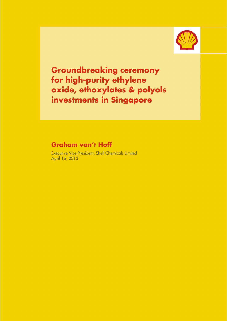

Groundbreaking ceremony for high-purity ethylene oxide, ethoxylates & polyols investments in Singapore Ī

# Graham van't Hoff

Executive Vice President, Shell Chemicals Limited April 16, 2013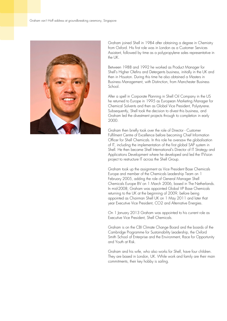

Graham joined Shell in 1984 after obtaining a degree in Chemistry from Oxford. His first role was in London as a Customer Services Assistant, followed by time as a polypropylene sales representative in the UK.

Between 1988 and 1992 he worked as Product Manager for Shell's Higher Olefins and Detergents business, initially in the UK and then in Houston. During this time he also obtained a Masters in Business Management, with Distinction, from Manchester Business School.

After a spell in Corporate Planning in Shell Oil Company in the US he returned to Europe in 1995 as European Marketing Manager for Chemical Solvents and then as Global Vice President, Polystyrene. Subsequently, Shell took the decision to divest this business, and Graham led the divestment projects through to completion in early 2000.

Graham then briefly took over the role of Director - Customer Fulfilment Centre of Excellence before becoming Chief Information Officer for Shell Chemicals. In this role he oversaw the globalisation of IT, including the implementation of the first global SAP system in Shell. He then became Shell International's Director of IT Strategy and Applications Development where he developed and led the ITVision project to restructure IT across the Shell Group.

Graham took up the assignment as Vice President Base Chemicals Europe and member of the Chemicals Leadership Team on 1 February 2005, adding the role of General Manager Shell Chemicals Europe BV on 1 March 2006, based in The Netherlands. In mid-2008, Graham was appointed Global VP Base Chemicals returning to the UK at the beginning of 2009, before being appointed as Chairman Shell UK on 1 May 2011 and later that year Executive Vice President, CO2 and Alternative Energies.

On 1 January 2013 Graham was appointed to his current role as Executive Vice President, Shell Chemicals.

Graham is on the CBI Climate Change Board and the boards of the Cambridge Programme for Sustainability Leadership, the Oxford Smith School of Enterprise and the Environment, Race for Opportunity and Youth at Risk.

Graham and his wife, who also works for Shell, have four children. They are based in London, UK. While work and family are their main commitments, their key hobby is sailing.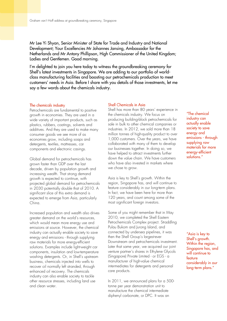Mr Lee Yi Shyan, Senior Minister of State for Trade and Industry and National Development; Your Excellencies Mr Johannes Jansing, Ambassador for the Netherlands and Mr Antony Phillipson, High Commissioner of the United Kingdom; Ladies and Gentlemen. Good morning.

I'm delighted to join you here today to witness the groundbreaking ceremony for Shell's latest investments in Singapore. We are adding to our portfolio of worldclass manufacturing facilities and boosting our petrochemicals production to meet customers' needs in Asia. Before I share with you details of those investments, let me say a few words about the chemicals industry.

## The chemicals industry

Petrochemicals are fundamental to positive growth in economies. They are used in a wide variety of important products, such as plastics, rubbers, coatings, solvents and additives. And they are used to make many consumer goods we see more of as economies grow, including soaps and detergents, textiles, mattresses, car components and electronic casings.

Global demand for petrochemicals has grown faster than GDP over the last decade, driven by population growth and increasing wealth. That strong demand growth is expected to continue, with projected global demand for petrochemicals in 2030 potentially double that of 2010. A significant slice of this extra demand is expected to emerge from Asia, particularly China.

Increased population and wealth also drives greater demand on the world's resources, which would mean more energy use and emissions at source. However, the chemical industry can actually enable society to save energy and emissions - through supplying raw materials for more energy-efficient solutions. Examples include light-weight car components, insulation and low-temperature washing detergents. Or, in Shell's upstream business, chemicals injected into wells to recover oil normally left stranded, through enhanced oil recovery. The chemicals industry can also enable society to tackle other resource stresses, including land use and clean water.

# Shell Chemicals in Asia

Shell has more than 80 years' experience in the chemicals industry. We focus on producing building-block petrochemicals for sale in bulk to other chemical companies or industries. In 2012, we sold more than 18 million tonnes of high-quality product to over 1,000 customers. Over the years, we have collaborated with many of them to develop our businesses together. In doing so, we have helped to attract investments further down the value chain. We have customers who have also invested in markets where we chose to grow.

Asia is key to Shell's growth. Within the region, Singapore has, and will continue to feature considerably in our long-term plans. In fact, we have been here for more than 120 years, and count among some of the most significant foreign investors.

Some of you might remember that in May 2010, we completed the Shell Eastern Petrochemicals Complex project. Straddling Pulau Bukom and Jurong Island, and connected by undersea pipelines, it was then the Shell Group's largest-ever Downstream and petrochemicals investment. Later that same year, we acquired our joint venture partner's shares in Ethylene Glycols (Singapore) Private Limited - or EGS - a manufacturer of high-value chemical intermediates for detergents and personal care products.

In 2011, we announced plans for a 500 tonne per year demonstration unit to manufacture the chemical intermediate diphenyl carbonate, or DPC. It was an

"The chemical industry can actually enable society to save energy and emissions - through supplying raw materials for more energy-efficient solutions."

"Asia is key to Shell's growth. Within the region, Singapore has, and will continue to feature considerably in our long-term plans."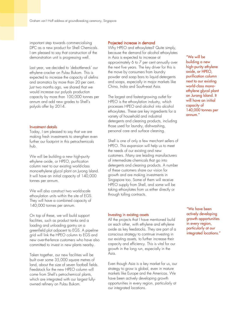important step towards commercialising DPC as a new product for Shell Chemicals. I am pleased to say that construction of the demonstration unit is progressing well.

Last year, we decided to 'debottleneck' our ethylene cracker on Pulau Bukom. This is expected to increase the capacity of olefins and aromatics by more than 20 per cent. Just two months ago, we shared that we would increase our polyols production capacity by more than 100,000 tonnes per annum and add new grades to Shell's polyols offer by 2014.

## Investment details

Today, I am pleased to say that we are making fresh investments to strengthen even further our footprint in this petrochemicals hub.

We will be building a new high-purity ethylene oxide, or HPEO, purification column next to our existing world-class mono-ethylene glycol plant on Jurong Island. It will have an initial capacity of 140,000 tonnes per annum.

We will also construct two world-scale ethoxylation units within the site of EGS. They will have a combined capacity of 140,000 tonnes per annum.

On top of these, we will build support facilities, such as product tanks and a loading and unloading gantry on a greenfield plot adjacent to EGS. A pipeline grid will link the HPEO column to EGS and new over-the-fence customers who have also committed to invest in new plants nearby.

Taken together, our new facilities will be built over some 35,000 square metres of land, about the size of seven football fields. Feedstock for the new HPEO column will come from Shell's petrochemical plants, which are integrated with our largest fullyowned refinery on Pulau Bukom.

### Projected increase in demand

Why HPEO and ethoxylates? Quite simply, because the demand for alcohol ethoxylates in Asia is expected to increase at approximately 6 to 7 per cent annually over the next five years. The key driver for this is the move by consumers from laundry powder and soap bars to liquid detergents and soaps, especially in major markets like China, India and South-east Asia.

The largest and fastest-growing outlet for HPEO is the ethoxylation industry, which processes HPEO and alcohol into alcohol ethoxylates. These are key ingredients for a variety of household and industrial detergents and cleaning products, including those used for laundry, dishwashing, personal care and surface cleaning.

Shell is one of only a few merchant sellers of HPEO. This expansion will help us to meet the needs of our existing and new customers. Many are leading manufacturers of intermediate chemicals that go into detergents and cleaning products. A number of these customers share our vision for growth and are making investments in Singapore too. Some of them will receive HPEO supply from Shell, and some will be taking ethoxylates from us either directly or through tolling contracts.

#### Investing in existing assets

All the projects that I have mentioned build on each other, with ethylene and ethylene oxide as key feedstocks. They are part of a conscious strategy to continue investing in our existing assets, to further increase their capacity and efficiency. This is vital for our growth in the long run, especially in the Asia.

Even though Asia is a key market for us, our strategy to grow is global, even in mature markets like Europe and the Americas. We have been actively developing growth opportunities in every region, particularly at our integrated locations.

"We will be building a new high-purity ethylene oxide, or HPEO, purification column next to our existing world-class monoethylene glycol plant on Jurong Island. It will have an initial capacity of 140,000 tonnes per annum."

"We have been actively developing growth opportunities in every region, particularly at our integrated locations."